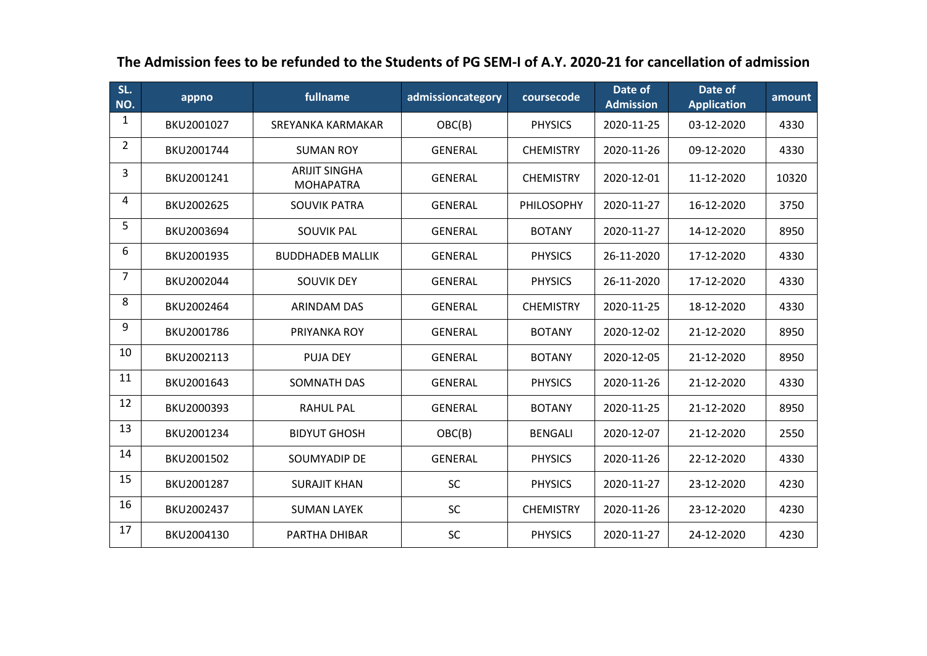| SL.<br>NO.     | appno      | fullname                                 | admissioncategory | coursecode       | Date of<br><b>Admission</b> | Date of<br><b>Application</b> | amount |
|----------------|------------|------------------------------------------|-------------------|------------------|-----------------------------|-------------------------------|--------|
| 1              | BKU2001027 | SREYANKA KARMAKAR                        | OBC(B)            | <b>PHYSICS</b>   | 2020-11-25                  | 03-12-2020                    | 4330   |
| $\overline{2}$ | BKU2001744 | <b>SUMAN ROY</b>                         | <b>GENERAL</b>    | <b>CHEMISTRY</b> | 2020-11-26                  | 09-12-2020                    | 4330   |
| 3              | BKU2001241 | <b>ARIJIT SINGHA</b><br><b>MOHAPATRA</b> | <b>GENERAL</b>    | <b>CHEMISTRY</b> | 2020-12-01                  | 11-12-2020                    | 10320  |
| 4              | BKU2002625 | <b>SOUVIK PATRA</b>                      | <b>GENERAL</b>    | PHILOSOPHY       | 2020-11-27                  | 16-12-2020                    | 3750   |
| 5              | BKU2003694 | <b>SOUVIK PAL</b>                        | <b>GENERAL</b>    | <b>BOTANY</b>    | 2020-11-27                  | 14-12-2020                    | 8950   |
| 6              | BKU2001935 | <b>BUDDHADEB MALLIK</b>                  | <b>GENERAL</b>    | <b>PHYSICS</b>   | 26-11-2020                  | 17-12-2020                    | 4330   |
| 7              | BKU2002044 | <b>SOUVIK DEY</b>                        | <b>GENERAL</b>    | <b>PHYSICS</b>   | 26-11-2020                  | 17-12-2020                    | 4330   |
| 8              | BKU2002464 | <b>ARINDAM DAS</b>                       | <b>GENERAL</b>    | <b>CHEMISTRY</b> | 2020-11-25                  | 18-12-2020                    | 4330   |
| 9              | BKU2001786 | PRIYANKA ROY                             | <b>GENERAL</b>    | <b>BOTANY</b>    | 2020-12-02                  | 21-12-2020                    | 8950   |
| 10             | BKU2002113 | <b>PUJA DEY</b>                          | <b>GENERAL</b>    | <b>BOTANY</b>    | 2020-12-05                  | 21-12-2020                    | 8950   |
| 11             | BKU2001643 | SOMNATH DAS                              | <b>GENERAL</b>    | <b>PHYSICS</b>   | 2020-11-26                  | 21-12-2020                    | 4330   |
| 12             | BKU2000393 | <b>RAHUL PAL</b>                         | <b>GENERAL</b>    | <b>BOTANY</b>    | 2020-11-25                  | 21-12-2020                    | 8950   |
| 13             | BKU2001234 | <b>BIDYUT GHOSH</b>                      | OBC(B)            | <b>BENGALI</b>   | 2020-12-07                  | 21-12-2020                    | 2550   |
| 14             | BKU2001502 | SOUMYADIP DE                             | <b>GENERAL</b>    | <b>PHYSICS</b>   | 2020-11-26                  | 22-12-2020                    | 4330   |
| 15             | BKU2001287 | <b>SURAJIT KHAN</b>                      | SC                | <b>PHYSICS</b>   | 2020-11-27                  | 23-12-2020                    | 4230   |
| 16             | BKU2002437 | <b>SUMAN LAYEK</b>                       | <b>SC</b>         | <b>CHEMISTRY</b> | 2020-11-26                  | 23-12-2020                    | 4230   |
| 17             | BKU2004130 | PARTHA DHIBAR                            | <b>SC</b>         | <b>PHYSICS</b>   | 2020-11-27                  | 24-12-2020                    | 4230   |

## **The Admission fees to be refunded to the Students of PG SEM-I of A.Y. 2020-21 for cancellation of admission**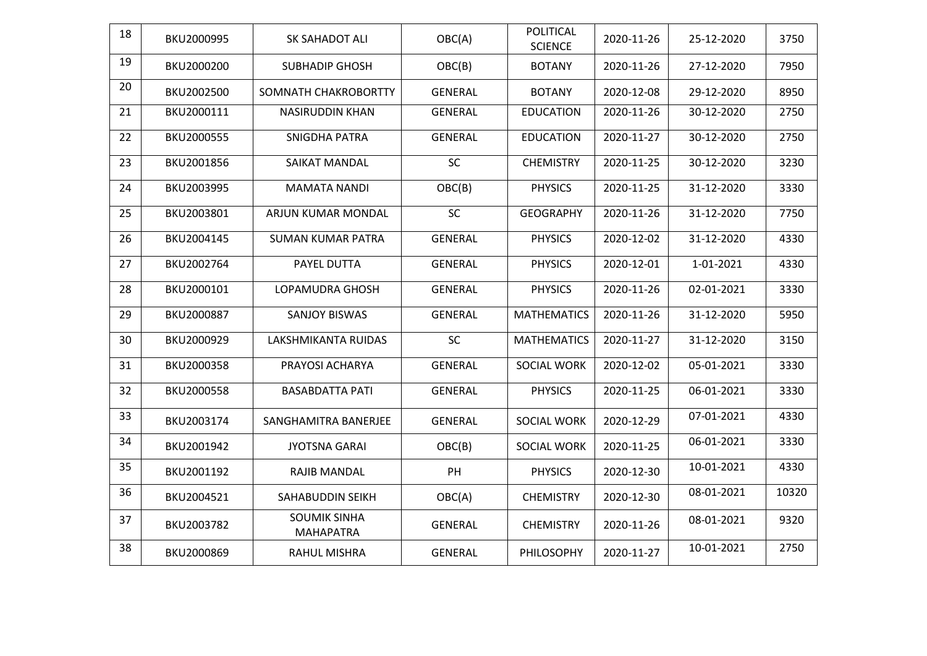| 18 | BKU2000995 | SK SAHADOT ALI                          | OBC(A)         | <b>POLITICAL</b><br><b>SCIENCE</b> | 2020-11-26 | 25-12-2020 | 3750  |
|----|------------|-----------------------------------------|----------------|------------------------------------|------------|------------|-------|
| 19 | BKU2000200 | <b>SUBHADIP GHOSH</b>                   | OBC(B)         | <b>BOTANY</b>                      | 2020-11-26 | 27-12-2020 | 7950  |
| 20 | BKU2002500 | SOMNATH CHAKROBORTTY                    | <b>GENERAL</b> | <b>BOTANY</b>                      | 2020-12-08 | 29-12-2020 | 8950  |
| 21 | BKU2000111 | NASIRUDDIN KHAN                         | <b>GENERAL</b> | <b>EDUCATION</b>                   | 2020-11-26 | 30-12-2020 | 2750  |
| 22 | BKU2000555 | SNIGDHA PATRA                           | <b>GENERAL</b> | <b>EDUCATION</b>                   | 2020-11-27 | 30-12-2020 | 2750  |
| 23 | BKU2001856 | <b>SAIKAT MANDAL</b>                    | SC             | <b>CHEMISTRY</b>                   | 2020-11-25 | 30-12-2020 | 3230  |
| 24 | BKU2003995 | <b>MAMATA NANDI</b>                     | OBC(B)         | <b>PHYSICS</b>                     | 2020-11-25 | 31-12-2020 | 3330  |
| 25 | BKU2003801 | ARJUN KUMAR MONDAL                      | SC             | <b>GEOGRAPHY</b>                   | 2020-11-26 | 31-12-2020 | 7750  |
| 26 | BKU2004145 | <b>SUMAN KUMAR PATRA</b>                | <b>GENERAL</b> | <b>PHYSICS</b>                     | 2020-12-02 | 31-12-2020 | 4330  |
| 27 | BKU2002764 | <b>PAYEL DUTTA</b>                      | <b>GENERAL</b> | <b>PHYSICS</b>                     | 2020-12-01 | 1-01-2021  | 4330  |
| 28 | BKU2000101 | LOPAMUDRA GHOSH                         | <b>GENERAL</b> | <b>PHYSICS</b>                     | 2020-11-26 | 02-01-2021 | 3330  |
| 29 | BKU2000887 | <b>SANJOY BISWAS</b>                    | <b>GENERAL</b> | <b>MATHEMATICS</b>                 | 2020-11-26 | 31-12-2020 | 5950  |
| 30 | BKU2000929 | LAKSHMIKANTA RUIDAS                     | SC             | <b>MATHEMATICS</b>                 | 2020-11-27 | 31-12-2020 | 3150  |
| 31 | BKU2000358 | PRAYOSI ACHARYA                         | <b>GENERAL</b> | <b>SOCIAL WORK</b>                 | 2020-12-02 | 05-01-2021 | 3330  |
| 32 | BKU2000558 | <b>BASABDATTA PATI</b>                  | <b>GENERAL</b> | <b>PHYSICS</b>                     | 2020-11-25 | 06-01-2021 | 3330  |
| 33 | BKU2003174 | SANGHAMITRA BANERJEE                    | <b>GENERAL</b> | <b>SOCIAL WORK</b>                 | 2020-12-29 | 07-01-2021 | 4330  |
| 34 | BKU2001942 | <b>JYOTSNA GARAI</b>                    | OBC(B)         | <b>SOCIAL WORK</b>                 | 2020-11-25 | 06-01-2021 | 3330  |
| 35 | BKU2001192 | RAJIB MANDAL                            | PH             | <b>PHYSICS</b>                     | 2020-12-30 | 10-01-2021 | 4330  |
| 36 | BKU2004521 | SAHABUDDIN SEIKH                        | OBC(A)         | <b>CHEMISTRY</b>                   | 2020-12-30 | 08-01-2021 | 10320 |
| 37 | BKU2003782 | <b>SOUMIK SINHA</b><br><b>MAHAPATRA</b> | <b>GENERAL</b> | <b>CHEMISTRY</b>                   | 2020-11-26 | 08-01-2021 | 9320  |
| 38 | BKU2000869 | <b>RAHUL MISHRA</b>                     | <b>GENERAL</b> | PHILOSOPHY                         | 2020-11-27 | 10-01-2021 | 2750  |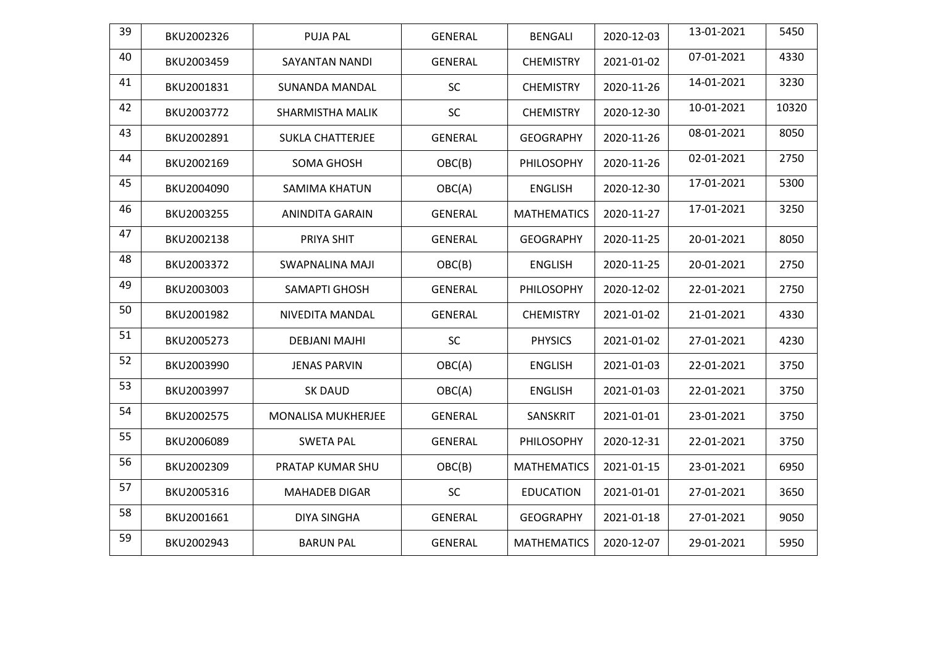| 39 | BKU2002326 | <b>PUJA PAL</b>           | <b>GENERAL</b> | <b>BENGALI</b>     | 2020-12-03 | 13-01-2021 | 5450  |
|----|------------|---------------------------|----------------|--------------------|------------|------------|-------|
| 40 | BKU2003459 | <b>SAYANTAN NANDI</b>     | <b>GENERAL</b> | <b>CHEMISTRY</b>   | 2021-01-02 | 07-01-2021 | 4330  |
| 41 | BKU2001831 | <b>SUNANDA MANDAL</b>     | <b>SC</b>      | <b>CHEMISTRY</b>   | 2020-11-26 | 14-01-2021 | 3230  |
| 42 | BKU2003772 | <b>SHARMISTHA MALIK</b>   | <b>SC</b>      | <b>CHEMISTRY</b>   | 2020-12-30 | 10-01-2021 | 10320 |
| 43 | BKU2002891 | <b>SUKLA CHATTERJEE</b>   | <b>GENERAL</b> | <b>GEOGRAPHY</b>   | 2020-11-26 | 08-01-2021 | 8050  |
| 44 | BKU2002169 | <b>SOMA GHOSH</b>         | OBC(B)         | PHILOSOPHY         | 2020-11-26 | 02-01-2021 | 2750  |
| 45 | BKU2004090 | <b>SAMIMA KHATUN</b>      | OBC(A)         | <b>ENGLISH</b>     | 2020-12-30 | 17-01-2021 | 5300  |
| 46 | BKU2003255 | <b>ANINDITA GARAIN</b>    | <b>GENERAL</b> | <b>MATHEMATICS</b> | 2020-11-27 | 17-01-2021 | 3250  |
| 47 | BKU2002138 | PRIYA SHIT                | <b>GENERAL</b> | <b>GEOGRAPHY</b>   | 2020-11-25 | 20-01-2021 | 8050  |
| 48 | BKU2003372 | <b>SWAPNALINA MAJI</b>    | OBC(B)         | <b>ENGLISH</b>     | 2020-11-25 | 20-01-2021 | 2750  |
| 49 | BKU2003003 | SAMAPTI GHOSH             | <b>GENERAL</b> | PHILOSOPHY         | 2020-12-02 | 22-01-2021 | 2750  |
| 50 | BKU2001982 | NIVEDITA MANDAL           | <b>GENERAL</b> | <b>CHEMISTRY</b>   | 2021-01-02 | 21-01-2021 | 4330  |
| 51 | BKU2005273 | <b>DEBJANI MAJHI</b>      | SC             | <b>PHYSICS</b>     | 2021-01-02 | 27-01-2021 | 4230  |
| 52 | BKU2003990 | <b>JENAS PARVIN</b>       | OBC(A)         | <b>ENGLISH</b>     | 2021-01-03 | 22-01-2021 | 3750  |
| 53 | BKU2003997 | <b>SK DAUD</b>            | OBC(A)         | <b>ENGLISH</b>     | 2021-01-03 | 22-01-2021 | 3750  |
| 54 | BKU2002575 | <b>MONALISA MUKHERJEE</b> | <b>GENERAL</b> | SANSKRIT           | 2021-01-01 | 23-01-2021 | 3750  |
| 55 | BKU2006089 | <b>SWETA PAL</b>          | <b>GENERAL</b> | <b>PHILOSOPHY</b>  | 2020-12-31 | 22-01-2021 | 3750  |
| 56 | BKU2002309 | PRATAP KUMAR SHU          | OBC(B)         | <b>MATHEMATICS</b> | 2021-01-15 | 23-01-2021 | 6950  |
| 57 | BKU2005316 | <b>MAHADEB DIGAR</b>      | SC             | <b>EDUCATION</b>   | 2021-01-01 | 27-01-2021 | 3650  |
| 58 | BKU2001661 | <b>DIYA SINGHA</b>        | <b>GENERAL</b> | <b>GEOGRAPHY</b>   | 2021-01-18 | 27-01-2021 | 9050  |
| 59 | BKU2002943 | <b>BARUN PAL</b>          | <b>GENERAL</b> | <b>MATHEMATICS</b> | 2020-12-07 | 29-01-2021 | 5950  |